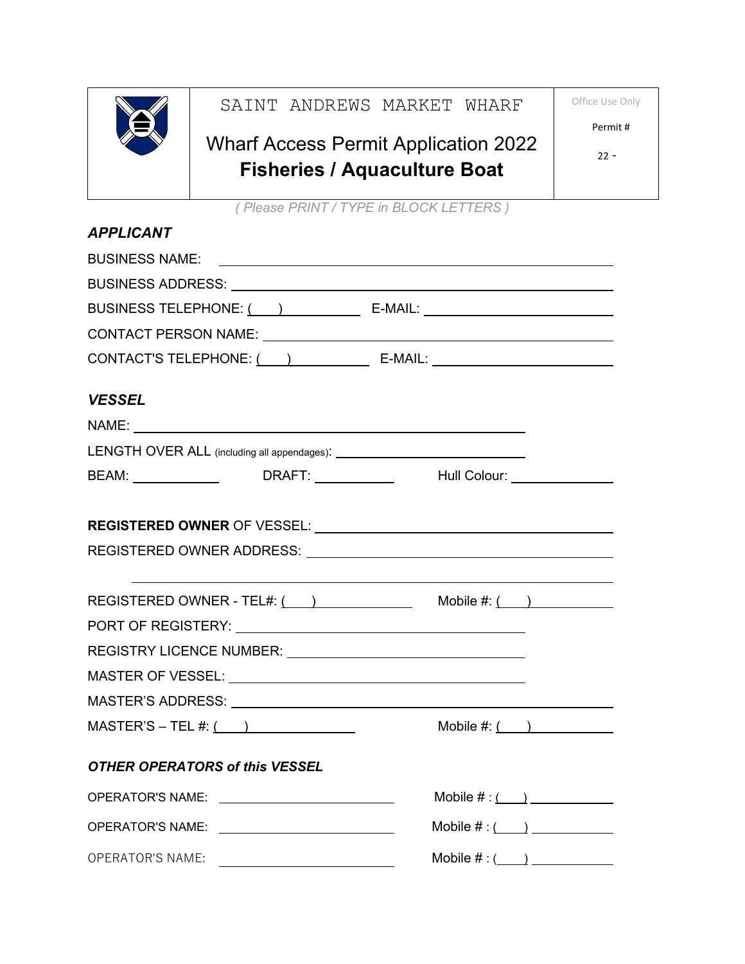

## SAINT ANDREWS MARKET WHARF

## Wharf Access Permit Application 2022 **Fisheries / Aquaculture Boat**

Office Use Only

Permit #

22 -

*( Please PRINT / TYPE in BLOCK LETTERS )*

| <b>APPLICANT</b>                                                                                                                                                                                                               |                                                                                   |
|--------------------------------------------------------------------------------------------------------------------------------------------------------------------------------------------------------------------------------|-----------------------------------------------------------------------------------|
|                                                                                                                                                                                                                                |                                                                                   |
|                                                                                                                                                                                                                                |                                                                                   |
|                                                                                                                                                                                                                                |                                                                                   |
|                                                                                                                                                                                                                                |                                                                                   |
| <b>VESSEL</b>                                                                                                                                                                                                                  |                                                                                   |
|                                                                                                                                                                                                                                |                                                                                   |
|                                                                                                                                                                                                                                |                                                                                   |
| BEAM: ________________   DRAFT: ____________   Hull Colour: ___________________                                                                                                                                                |                                                                                   |
|                                                                                                                                                                                                                                |                                                                                   |
|                                                                                                                                                                                                                                |                                                                                   |
|                                                                                                                                                                                                                                |                                                                                   |
| PORT OF REGISTERY: Network and the state of the state of the state of the state of the state of the state of the state of the state of the state of the state of the state of the state of the state of the state of the state |                                                                                   |
|                                                                                                                                                                                                                                |                                                                                   |
|                                                                                                                                                                                                                                |                                                                                   |
|                                                                                                                                                                                                                                |                                                                                   |
| $MASTER'S - TEL #: ( )$                                                                                                                                                                                                        | Mobile $\#:\underline{(\qquad)}$                                                  |
| OTHER OPERATORS of this VESSEL                                                                                                                                                                                                 |                                                                                   |
| <b>OPERATOR'S NAME:</b>                                                                                                                                                                                                        | Mobile $\#$ : $\qquad \qquad$                                                     |
| <b>OPERATOR'S NAME:</b>                                                                                                                                                                                                        | Mobile $\#:\underline{(\hspace{1em}\underline{\hspace{1em}})}$                    |
| OPERATOR'S NAME:                                                                                                                                                                                                               | Mobile $\#:(\_\_\_\_\_\_\_\_\_\_\_\_\_\_\_\_\_\_\_\_\_\_\_\_\_\_\_\_\_\_\_\_\_\_$ |